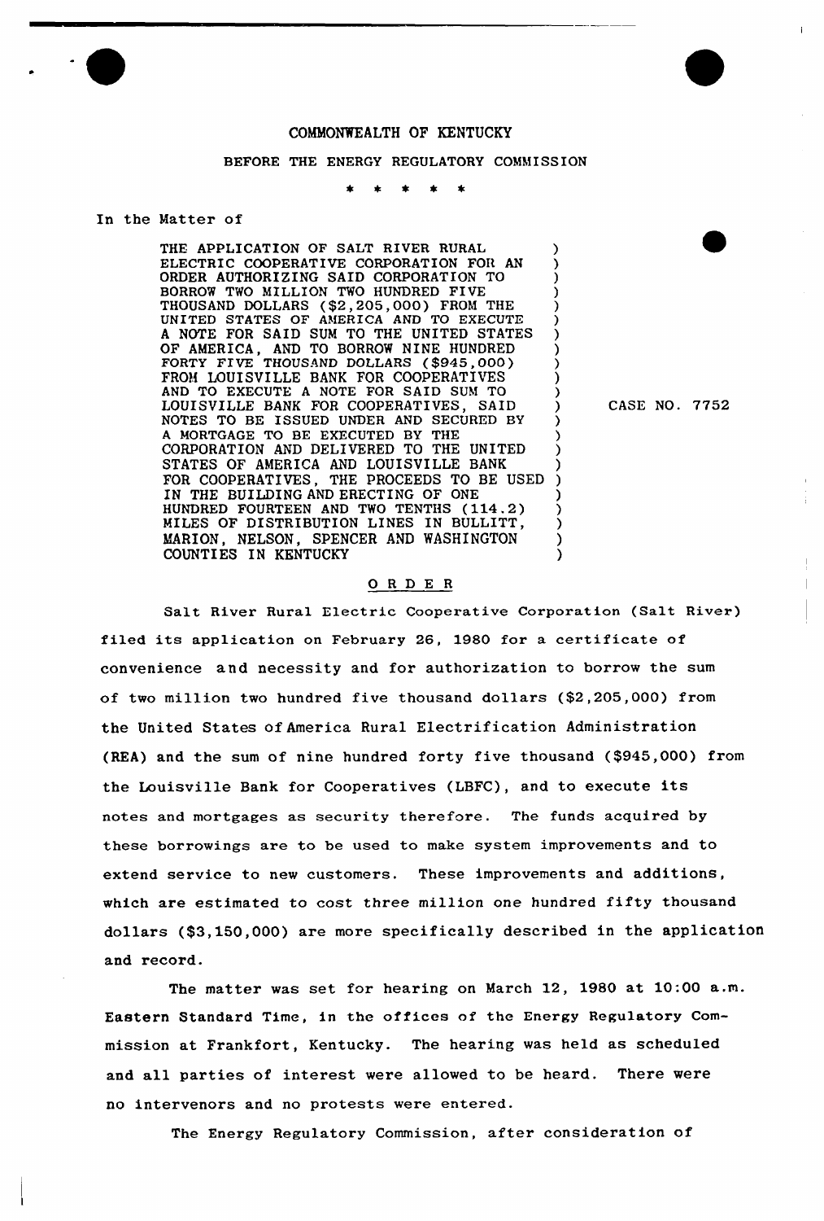## COMMONWEALTH OF KENTUCKY

## BEFORE THE ENERGY REGULATORY COMMISSION

## In the Matter of

THE APPLICATION OF SALT RIVER RURAL (3)<br>ELECTRIC COOPERATIVE CORPORATION FOR AN ELECTRIC COOPERATIVE CORPORATION FOR AN ORDER AUTHORIZING SAID CORPORATION TO ) BORROW TWO MILLION TWO HUNDRED FIVE THOUSAND DOLLARS (\$2,205,000) FROM THE ) UNITED STATES OF AMERICA AND TO EXECUTE <sup>A</sup> NOTE FOR SAID SUM TO THE UNITED STATES ) OF AMERICA, AND TO BORROW NINE HUNDRED )<br>FORTY FIVE THOUSAND DOLLARS (\$945,000) FROM LOUISVILLE BANK FOR COOPERATIVES (3) AND TO EXECUTE A NOTE FOR SAID SUM TO AND TO EXECUTE A NOTE FOR SAID SUM TO  $\left.\begin{array}{ccc} \text{0} & \text{0} & \text{0} \\ \text{1} & \text{1} & \text{1} & \text{1} \\ \text{2} & \text{2} & \text{2} & \text{2} \end{array} \right.$ LOUISVILLE BANK FOR COOPERATIVES, SAID )<br>NOTES TO BE ISSUED UNDER AND SECURED BY NOTES TO BE ISSUED UNDER AND SECURED BY A MORTGAGE TO BE EXECUTED BY THE (1997) (A MORTGAGE TO BE LIVERED ) CORPORATION AND DELIVERED TO THE UNITED } STATES OF AMERICA AND LOUISVILLE BANK FOR COOPERATIVES, THE PROCEEDS TO BE USED IN THE BUILDING AND ERECTING OF ONE HUNDRED FOURTEEN AND TWO TENTHS (114.2) } MILES OF DISTRIBUTION LINES IN BULLITT, } MARION, NELSON, SPENCER AND WASHINGTON COUNTIES IN KENTUCKY

CASE NO. 7752

## ORDER

Salt River Rural Electric Cooperative Corporation (Salt River) filed its application on February 26, 1980 for a certificate of convenience and necessity and for authorization to borrow the sum of two million two hundred five thousand dollars (\$2,205,000) from the United States of America Rural Electrification Administration (REA) and the sum of nine hundred forty five thousand (\$945,000) from the Louisville Bank for Cooperatives (LBFC), and to execute its notes and mortgages as security therefore. The funds acquired by these borrowings are to be used to make system improvements and to extend service to new customers. These improvements and additions, which are estimated to cost three million one hundred fifty thousand dollars (\$3,150,000) are more specifically described in the application and record.

The matter was set for hearing on March 12, 1980 at 10:00 a.m. Eastern Standard Time, in the offices of the Energy Regulatory Commission at Frankfort, Kentucky. The hearing was held as scheduled and all parties of interest were allowed to be heard. There were no intervenors and no protests were entered.

The Energy Regulatory Commission, after consideration of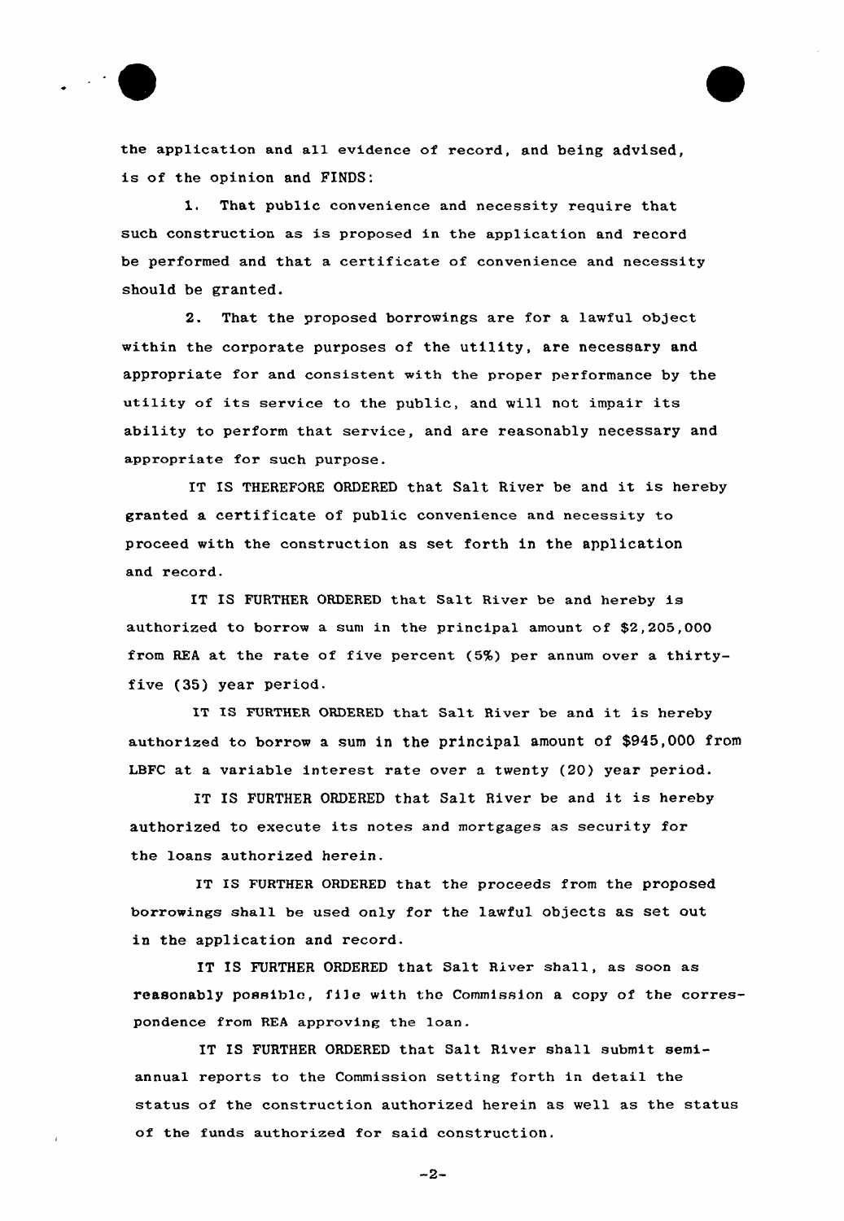

the application and all evidence of record, and being advised, is of the opinion and FINDS:

1. That public convenience and necessity require that such construction as is proposed in the application and record be performed and that a certificate of convenience and necessity should be granted.

2. That the proposed borrowings are for a lawful object within the corporate purposes of the utility, are necessary and appropriate for and consistent with the proper performance by the utility of its service to the public, and will not impair its ability to perform that service, and are reasonably necessary and appropriate for such purpose.

IT IS THEREFORE ORDERED that Salt River be and it is hereby granted a certificate of public convenience and necessity to proceed with the construction as set forth in the application and record.

IT IS FURTHER ORDERED that Salt River be and hereby is authorized to borrow a sum in the principal amount of  $$2,205,000$ from REA at the rate of five percent (5%) per annum over a thirtyfive (35) year period.

IT IS FURTHER ORDERED that Salt River be and it is hereby authorized to borrow a sum in the principal amount of \$945,000 from LBFC at a variable interest rate over a twenty (20) year period.

IT IS FURTHER ORDERED that Salt River be and it is hereby authorized to execute its notes and mortgages as security for the loans authorized herein.

IT IS FURTHER ORDERED that the proceeds from the proposed borrowings shall be used only for the lawful objects as set out in the application and record.

IT IS FURTHER ORDERED that Salt River shall, as soon as reasonably possible, fi]e with the Commission <sup>a</sup> copy of the correspondence from REA approving the loan.

IT IS FURTHER ORDERED that Salt River shall submit semiannual reports to the Commission setting forth in detail the status of the construction authorized herein as well as the status of the funds authorized for said construction.

 $-2-$